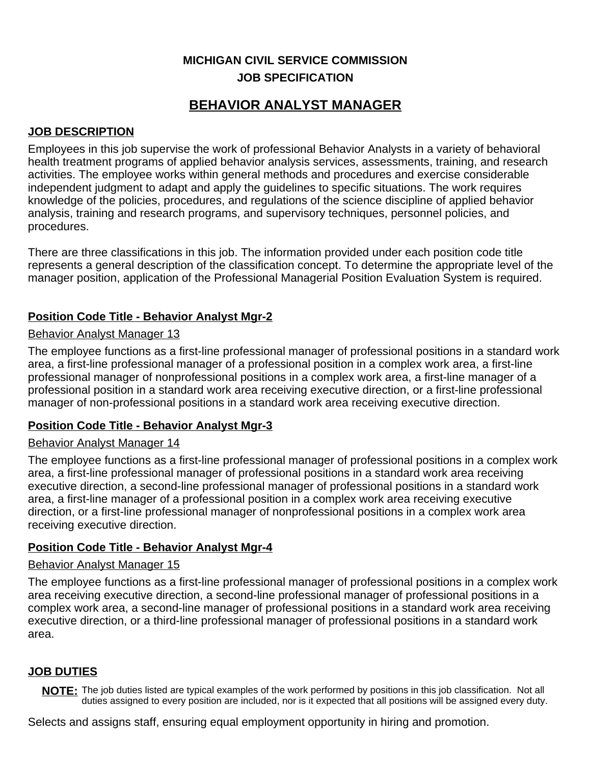## **MICHIGAN CIVIL SERVICE COMMISSION JOB SPECIFICATION**

# **BEHAVIOR ANALYST MANAGER**

## **JOB DESCRIPTION**

Employees in this job supervise the work of professional Behavior Analysts in a variety of behavioral health treatment programs of applied behavior analysis services, assessments, training, and research activities. The employee works within general methods and procedures and exercise considerable independent judgment to adapt and apply the guidelines to specific situations. The work requires knowledge of the policies, procedures, and regulations of the science discipline of applied behavior analysis, training and research programs, and supervisory techniques, personnel policies, and procedures.

There are three classifications in this job. The information provided under each position code title represents a general description of the classification concept. To determine the appropriate level of the manager position, application of the Professional Managerial Position Evaluation System is required.

## **Position Code Title - Behavior Analyst Mgr-2**

#### **Behavior Analyst Manager 13**

The employee functions as a first-line professional manager of professional positions in a standard work area, a first-line professional manager of a professional position in a complex work area, a first-line professional manager of nonprofessional positions in a complex work area, a first-line manager of a professional position in a standard work area receiving executive direction, or a first-line professional manager of non-professional positions in a standard work area receiving executive direction.

## **Position Code Title - Behavior Analyst Mgr-3**

## Behavior Analyst Manager 14

The employee functions as a first-line professional manager of professional positions in a complex work area, a first-line professional manager of professional positions in a standard work area receiving executive direction, a second-line professional manager of professional positions in a standard work area, a first-line manager of a professional position in a complex work area receiving executive direction, or a first-line professional manager of nonprofessional positions in a complex work area receiving executive direction.

## **Position Code Title - Behavior Analyst Mgr-4**

#### Behavior Analyst Manager 15

The employee functions as a first-line professional manager of professional positions in a complex work area receiving executive direction, a second-line professional manager of professional positions in a complex work area, a second-line manager of professional positions in a standard work area receiving executive direction, or a third-line professional manager of professional positions in a standard work area.

## **JOB DUTIES**

**NOTE:** The job duties listed are typical examples of the work performed by positions in this job classification. Not all duties assigned to every position are included, nor is it expected that all positions will be assigned every duty.

Selects and assigns staff, ensuring equal employment opportunity in hiring and promotion.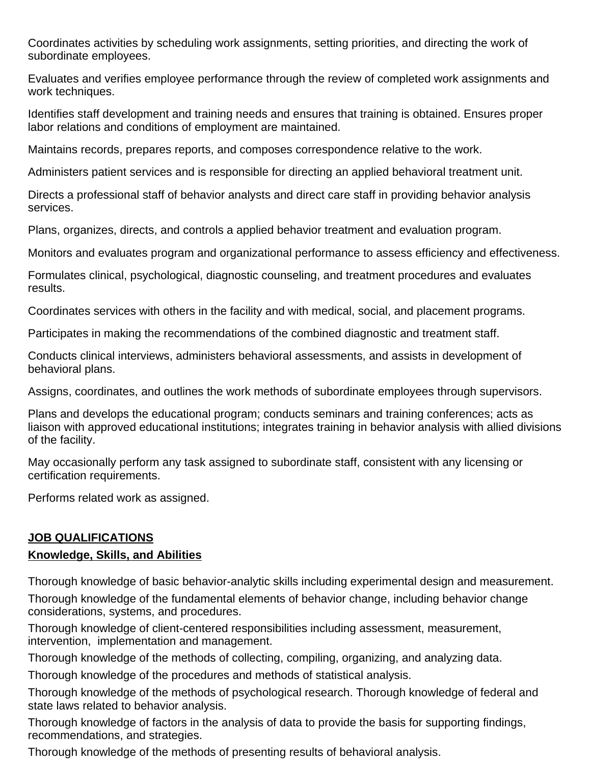Coordinates activities by scheduling work assignments, setting priorities, and directing the work of subordinate employees.

Evaluates and verifies employee performance through the review of completed work assignments and work techniques.

Identifies staff development and training needs and ensures that training is obtained. Ensures proper labor relations and conditions of employment are maintained.

Maintains records, prepares reports, and composes correspondence relative to the work.

Administers patient services and is responsible for directing an applied behavioral treatment unit.

Directs a professional staff of behavior analysts and direct care staff in providing behavior analysis services.

Plans, organizes, directs, and controls a applied behavior treatment and evaluation program.

Monitors and evaluates program and organizational performance to assess efficiency and effectiveness.

Formulates clinical, psychological, diagnostic counseling, and treatment procedures and evaluates results.

Coordinates services with others in the facility and with medical, social, and placement programs.

Participates in making the recommendations of the combined diagnostic and treatment staff.

Conducts clinical interviews, administers behavioral assessments, and assists in development of behavioral plans.

Assigns, coordinates, and outlines the work methods of subordinate employees through supervisors.

Plans and develops the educational program; conducts seminars and training conferences; acts as liaison with approved educational institutions; integrates training in behavior analysis with allied divisions of the facility.

May occasionally perform any task assigned to subordinate staff, consistent with any licensing or certification requirements.

Performs related work as assigned.

## **JOB QUALIFICATIONS**

## **Knowledge, Skills, and Abilities**

Thorough knowledge of basic behavior-analytic skills including experimental design and measurement.

Thorough knowledge of the fundamental elements of behavior change, including behavior change considerations, systems, and procedures.

Thorough knowledge of client-centered responsibilities including assessment, measurement, intervention, implementation and management.

Thorough knowledge of the methods of collecting, compiling, organizing, and analyzing data.

Thorough knowledge of the procedures and methods of statistical analysis.

Thorough knowledge of the methods of psychological research. Thorough knowledge of federal and state laws related to behavior analysis.

Thorough knowledge of factors in the analysis of data to provide the basis for supporting findings, recommendations, and strategies.

Thorough knowledge of the methods of presenting results of behavioral analysis.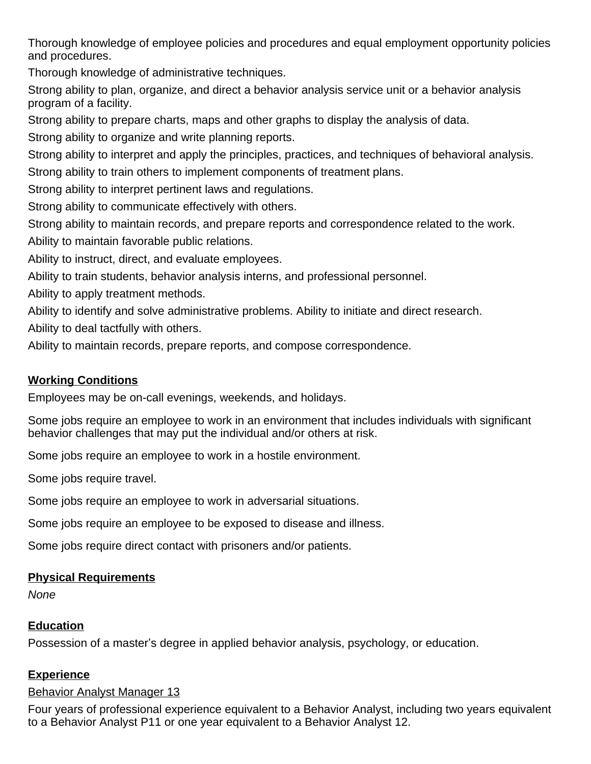Thorough knowledge of employee policies and procedures and equal employment opportunity policies and procedures.

Thorough knowledge of administrative techniques.

Strong ability to plan, organize, and direct a behavior analysis service unit or a behavior analysis program of a facility.

Strong ability to prepare charts, maps and other graphs to display the analysis of data.

Strong ability to organize and write planning reports.

Strong ability to interpret and apply the principles, practices, and techniques of behavioral analysis.

Strong ability to train others to implement components of treatment plans.

Strong ability to interpret pertinent laws and regulations.

Strong ability to communicate effectively with others.

Strong ability to maintain records, and prepare reports and correspondence related to the work.

Ability to maintain favorable public relations.

Ability to instruct, direct, and evaluate employees.

Ability to train students, behavior analysis interns, and professional personnel.

Ability to apply treatment methods.

Ability to identify and solve administrative problems. Ability to initiate and direct research.

Ability to deal tactfully with others.

Ability to maintain records, prepare reports, and compose correspondence.

## **Working Conditions**

Employees may be on-call evenings, weekends, and holidays.

Some jobs require an employee to work in an environment that includes individuals with significant behavior challenges that may put the individual and/or others at risk.

Some jobs require an employee to work in a hostile environment.

Some jobs require travel.

Some jobs require an employee to work in adversarial situations.

Some jobs require an employee to be exposed to disease and illness.

Some jobs require direct contact with prisoners and/or patients.

## **Physical Requirements**

None

## **Education**

Possession of a master's degree in applied behavior analysis, psychology, or education.

## **Experience**

## Behavior Analyst Manager 13

Four years of professional experience equivalent to a Behavior Analyst, including two years equivalent to a Behavior Analyst P11 or one year equivalent to a Behavior Analyst 12.